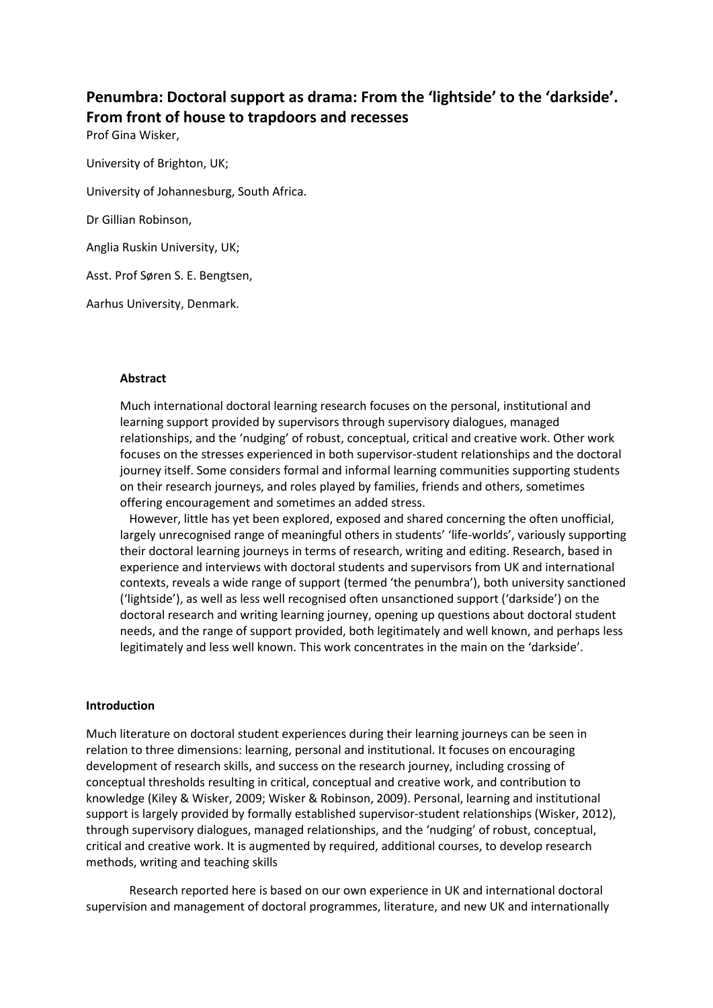# **Penumbra: Doctoral support as drama: From the 'lightside' to the 'darkside'. From front of house to trapdoors and recesses**

Prof Gina Wisker,

University of Brighton, UK; University of Johannesburg, South Africa. Dr Gillian Robinson, Anglia Ruskin University, UK;

Asst. Prof Søren S. E. Bengtsen,

Aarhus University, Denmark.

#### **Abstract**

Much international doctoral learning research focuses on the personal, institutional and learning support provided by supervisors through supervisory dialogues, managed relationships, and the 'nudging' of robust, conceptual, critical and creative work. Other work focuses on the stresses experienced in both supervisor-student relationships and the doctoral journey itself. Some considers formal and informal learning communities supporting students on their research journeys, and roles played by families, friends and others, sometimes offering encouragement and sometimes an added stress.

However, little has yet been explored, exposed and shared concerning the often unofficial, largely unrecognised range of meaningful others in students' 'life-worlds', variously supporting their doctoral learning journeys in terms of research, writing and editing. Research, based in experience and interviews with doctoral students and supervisors from UK and international contexts, reveals a wide range of support (termed 'the penumbra'), both university sanctioned ('lightside'), as well as less well recognised often unsanctioned support ('darkside') on the doctoral research and writing learning journey, opening up questions about doctoral student needs, and the range of support provided, both legitimately and well known, and perhaps less legitimately and less well known. This work concentrates in the main on the 'darkside'.

#### **Introduction**

Much literature on doctoral student experiences during their learning journeys can be seen in relation to three dimensions: learning, personal and institutional. It focuses on encouraging development of research skills, and success on the research journey, including crossing of conceptual thresholds resulting in critical, conceptual and creative work, and contribution to knowledge (Kiley & Wisker, 2009; Wisker & Robinson, 2009). Personal, learning and institutional support is largely provided by formally established supervisor-student relationships (Wisker, 2012), through supervisory dialogues, managed relationships, and the 'nudging' of robust, conceptual, critical and creative work. It is augmented by required, additional courses, to develop research methods, writing and teaching skills

Research reported here is based on our own experience in UK and international doctoral supervision and management of doctoral programmes, literature, and new UK and internationally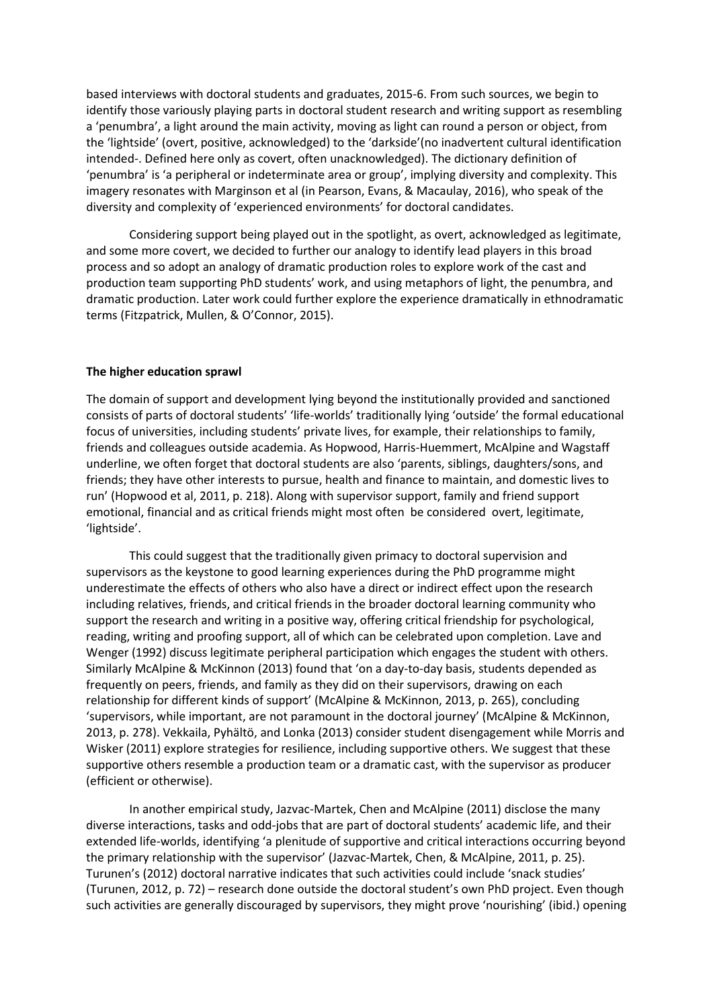based interviews with doctoral students and graduates, 2015-6. From such sources, we begin to identify those variously playing parts in doctoral student research and writing support as resembling a 'penumbra', a light around the main activity, moving as light can round a person or object, from the 'lightside' (overt, positive, acknowledged) to the 'darkside'(no inadvertent cultural identification intended-. Defined here only as covert, often unacknowledged). The dictionary definition of 'penumbra' is 'a peripheral or indeterminate area or group', implying diversity and complexity. This imagery resonates with Marginson et al (in Pearson, Evans, & Macaulay, 2016), who speak of the diversity and complexity of 'experienced environments' for doctoral candidates.

Considering support being played out in the spotlight, as overt, acknowledged as legitimate, and some more covert, we decided to further our analogy to identify lead players in this broad process and so adopt an analogy of dramatic production roles to explore work of the cast and production team supporting PhD students' work, and using metaphors of light, the penumbra, and dramatic production. Later work could further explore the experience dramatically in ethnodramatic terms (Fitzpatrick, Mullen, & O'Connor, 2015).

#### **The higher education sprawl**

The domain of support and development lying beyond the institutionally provided and sanctioned consists of parts of doctoral students' 'life-worlds' traditionally lying 'outside' the formal educational focus of universities, including students' private lives, for example, their relationships to family, friends and colleagues outside academia. As Hopwood, Harris-Huemmert, McAlpine and Wagstaff underline, we often forget that doctoral students are also 'parents, siblings, daughters/sons, and friends; they have other interests to pursue, health and finance to maintain, and domestic lives to run' (Hopwood et al, 2011, p. 218). Along with supervisor support, family and friend support emotional, financial and as critical friends might most often be considered overt, legitimate, 'lightside'.

This could suggest that the traditionally given primacy to doctoral supervision and supervisors as the keystone to good learning experiences during the PhD programme might underestimate the effects of others who also have a direct or indirect effect upon the research including relatives, friends, and critical friends in the broader doctoral learning community who support the research and writing in a positive way, offering critical friendship for psychological, reading, writing and proofing support, all of which can be celebrated upon completion. Lave and Wenger (1992) discuss legitimate peripheral participation which engages the student with others. Similarly McAlpine & McKinnon (2013) found that 'on a day-to-day basis, students depended as frequently on peers, friends, and family as they did on their supervisors, drawing on each relationship for different kinds of support' (McAlpine & McKinnon, 2013, p. 265), concluding 'supervisors, while important, are not paramount in the doctoral journey' (McAlpine & McKinnon, 2013, p. 278). Vekkaila, Pyhältö, and Lonka (2013) consider student disengagement while Morris and Wisker (2011) explore strategies for resilience, including supportive others. We suggest that these supportive others resemble a production team or a dramatic cast, with the supervisor as producer (efficient or otherwise).

In another empirical study, Jazvac-Martek, Chen and McAlpine (2011) disclose the many diverse interactions, tasks and odd-jobs that are part of doctoral students' academic life, and their extended life-worlds, identifying 'a plenitude of supportive and critical interactions occurring beyond the primary relationship with the supervisor' (Jazvac-Martek, Chen, & McAlpine, 2011, p. 25). Turunen's (2012) doctoral narrative indicates that such activities could include 'snack studies' (Turunen, 2012, p. 72) – research done outside the doctoral student's own PhD project. Even though such activities are generally discouraged by supervisors, they might prove 'nourishing' (ibid.) opening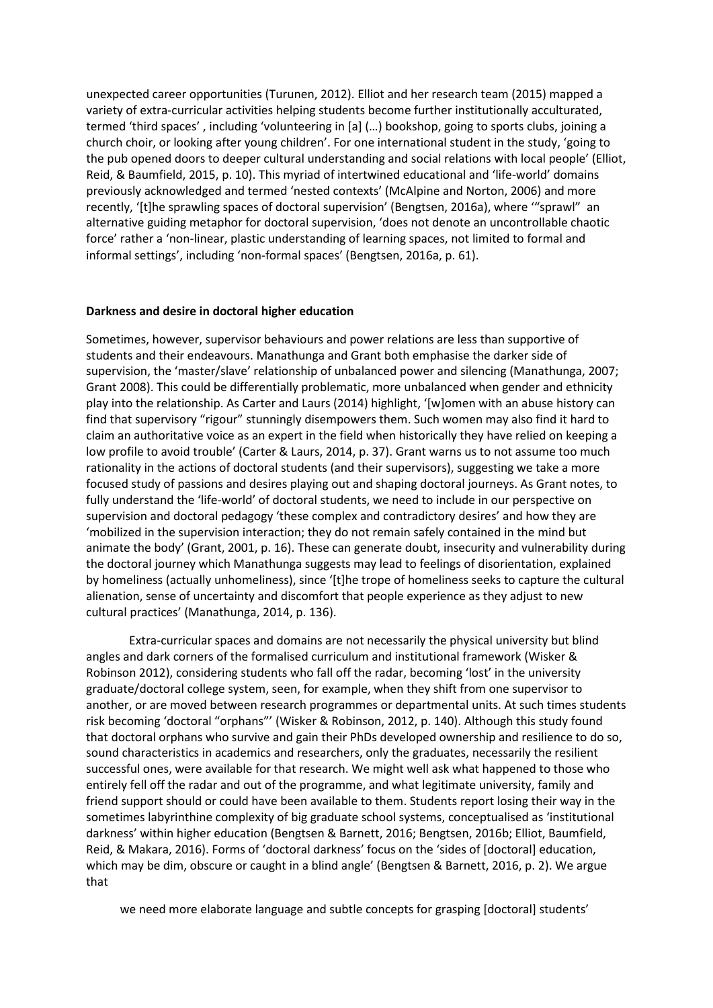unexpected career opportunities (Turunen, 2012). Elliot and her research team (2015) mapped a variety of extra-curricular activities helping students become further institutionally acculturated, termed 'third spaces' , including 'volunteering in [a] (…) bookshop, going to sports clubs, joining a church choir, or looking after young children'. For one international student in the study, 'going to the pub opened doors to deeper cultural understanding and social relations with local people' (Elliot, Reid, & Baumfield, 2015, p. 10). This myriad of intertwined educational and 'life-world' domains previously acknowledged and termed 'nested contexts' (McAlpine and Norton, 2006) and more recently, '[t]he sprawling spaces of doctoral supervision' (Bengtsen, 2016a), where '"sprawl" an alternative guiding metaphor for doctoral supervision, 'does not denote an uncontrollable chaotic force' rather a 'non-linear, plastic understanding of learning spaces, not limited to formal and informal settings', including 'non-formal spaces' (Bengtsen, 2016a, p. 61).

### **Darkness and desire in doctoral higher education**

Sometimes, however, supervisor behaviours and power relations are less than supportive of students and their endeavours. Manathunga and Grant both emphasise the darker side of supervision, the 'master/slave' relationship of unbalanced power and silencing (Manathunga, 2007; Grant 2008). This could be differentially problematic, more unbalanced when gender and ethnicity play into the relationship. As Carter and Laurs (2014) highlight, '[w]omen with an abuse history can find that supervisory "rigour" stunningly disempowers them. Such women may also find it hard to claim an authoritative voice as an expert in the field when historically they have relied on keeping a low profile to avoid trouble' (Carter & Laurs, 2014, p. 37). Grant warns us to not assume too much rationality in the actions of doctoral students (and their supervisors), suggesting we take a more focused study of passions and desires playing out and shaping doctoral journeys. As Grant notes, to fully understand the 'life-world' of doctoral students, we need to include in our perspective on supervision and doctoral pedagogy 'these complex and contradictory desires' and how they are 'mobilized in the supervision interaction; they do not remain safely contained in the mind but animate the body' (Grant, 2001, p. 16). These can generate doubt, insecurity and vulnerability during the doctoral journey which Manathunga suggests may lead to feelings of disorientation, explained by homeliness (actually unhomeliness), since '[t]he trope of homeliness seeks to capture the cultural alienation, sense of uncertainty and discomfort that people experience as they adjust to new cultural practices' (Manathunga, 2014, p. 136).

Extra-curricular spaces and domains are not necessarily the physical university but blind angles and dark corners of the formalised curriculum and institutional framework (Wisker & Robinson 2012), considering students who fall off the radar, becoming 'lost' in the university graduate/doctoral college system, seen, for example, when they shift from one supervisor to another, or are moved between research programmes or departmental units. At such times students risk becoming 'doctoral "orphans"' (Wisker & Robinson, 2012, p. 140). Although this study found that doctoral orphans who survive and gain their PhDs developed ownership and resilience to do so, sound characteristics in academics and researchers, only the graduates, necessarily the resilient successful ones, were available for that research. We might well ask what happened to those who entirely fell off the radar and out of the programme, and what legitimate university, family and friend support should or could have been available to them. Students report losing their way in the sometimes labyrinthine complexity of big graduate school systems, conceptualised as 'institutional darkness' within higher education (Bengtsen & Barnett, 2016; Bengtsen, 2016b; Elliot, Baumfield, Reid, & Makara, 2016). Forms of 'doctoral darkness' focus on the 'sides of [doctoral] education, which may be dim, obscure or caught in a blind angle' (Bengtsen & Barnett, 2016, p. 2). We argue that

we need more elaborate language and subtle concepts for grasping [doctoral] students'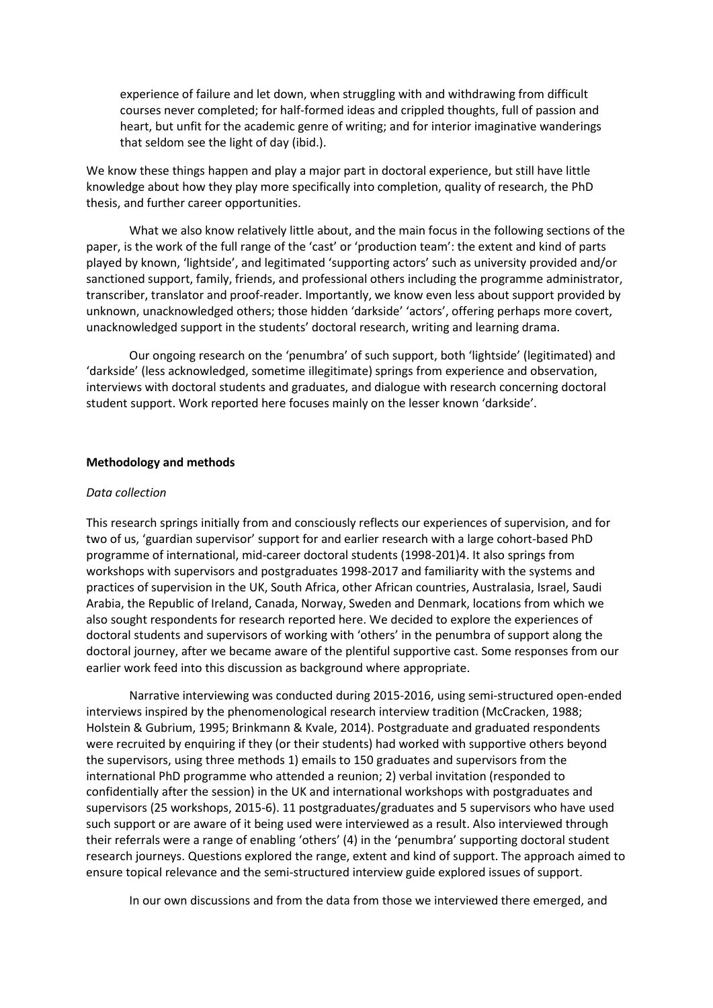experience of failure and let down, when struggling with and withdrawing from difficult courses never completed; for half-formed ideas and crippled thoughts, full of passion and heart, but unfit for the academic genre of writing; and for interior imaginative wanderings that seldom see the light of day (ibid.).

We know these things happen and play a major part in doctoral experience, but still have little knowledge about how they play more specifically into completion, quality of research, the PhD thesis, and further career opportunities.

What we also know relatively little about, and the main focus in the following sections of the paper, is the work of the full range of the 'cast' or 'production team': the extent and kind of parts played by known, 'lightside', and legitimated 'supporting actors' such as university provided and/or sanctioned support, family, friends, and professional others including the programme administrator, transcriber, translator and proof-reader. Importantly, we know even less about support provided by unknown, unacknowledged others; those hidden 'darkside' 'actors', offering perhaps more covert, unacknowledged support in the students' doctoral research, writing and learning drama.

Our ongoing research on the 'penumbra' of such support, both 'lightside' (legitimated) and 'darkside' (less acknowledged, sometime illegitimate) springs from experience and observation, interviews with doctoral students and graduates, and dialogue with research concerning doctoral student support. Work reported here focuses mainly on the lesser known 'darkside'.

#### **Methodology and methods**

#### *Data collection*

This research springs initially from and consciously reflects our experiences of supervision, and for two of us, 'guardian supervisor' support for and earlier research with a large cohort-based PhD programme of international, mid-career doctoral students (1998-201)4. It also springs from workshops with supervisors and postgraduates 1998-2017 and familiarity with the systems and practices of supervision in the UK, South Africa, other African countries, Australasia, Israel, Saudi Arabia, the Republic of Ireland, Canada, Norway, Sweden and Denmark, locations from which we also sought respondents for research reported here. We decided to explore the experiences of doctoral students and supervisors of working with 'others' in the penumbra of support along the doctoral journey, after we became aware of the plentiful supportive cast. Some responses from our earlier work feed into this discussion as background where appropriate.

Narrative interviewing was conducted during 2015-2016, using semi-structured open-ended interviews inspired by the phenomenological research interview tradition (McCracken, 1988; Holstein & Gubrium, 1995; Brinkmann & Kvale, 2014). Postgraduate and graduated respondents were recruited by enquiring if they (or their students) had worked with supportive others beyond the supervisors, using three methods 1) emails to 150 graduates and supervisors from the international PhD programme who attended a reunion; 2) verbal invitation (responded to confidentially after the session) in the UK and international workshops with postgraduates and supervisors (25 workshops, 2015-6). 11 postgraduates/graduates and 5 supervisors who have used such support or are aware of it being used were interviewed as a result. Also interviewed through their referrals were a range of enabling 'others' (4) in the 'penumbra' supporting doctoral student research journeys. Questions explored the range, extent and kind of support. The approach aimed to ensure topical relevance and the semi-structured interview guide explored issues of support.

In our own discussions and from the data from those we interviewed there emerged, and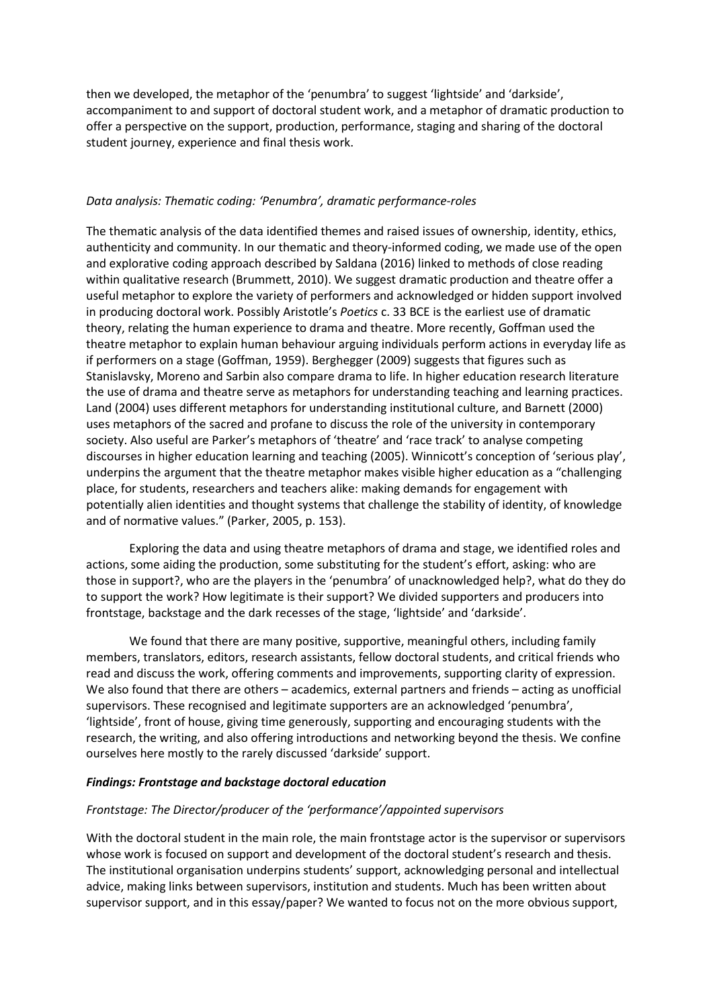then we developed, the metaphor of the 'penumbra' to suggest 'lightside' and 'darkside', accompaniment to and support of doctoral student work, and a metaphor of dramatic production to offer a perspective on the support, production, performance, staging and sharing of the doctoral student journey, experience and final thesis work.

#### *Data analysis: Thematic coding: 'Penumbra', dramatic performance-roles*

The thematic analysis of the data identified themes and raised issues of ownership, identity, ethics, authenticity and community. In our thematic and theory-informed coding, we made use of the open and explorative coding approach described by Saldana (2016) linked to methods of close reading within qualitative research (Brummett, 2010). We suggest dramatic production and theatre offer a useful metaphor to explore the variety of performers and acknowledged or hidden support involved in producing doctoral work. Possibly Aristotle's *Poetics* c. 33 BCE is the earliest use of dramatic theory, relating the human experience to drama and theatre. More recently, Goffman used the theatre metaphor to explain human behaviour arguing individuals perform actions in everyday life as if performers on a stage (Goffman, 1959). Berghegger (2009) suggests that figures such as Stanislavsky, Moreno and Sarbin also compare drama to life. In higher education research literature the use of drama and theatre serve as metaphors for understanding teaching and learning practices. Land (2004) uses different metaphors for understanding institutional culture, and Barnett (2000) uses metaphors of the sacred and profane to discuss the role of the university in contemporary society. Also useful are Parker's metaphors of 'theatre' and 'race track' to analyse competing discourses in higher education learning and teaching (2005). Winnicott's conception of 'serious play', underpins the argument that the theatre metaphor makes visible higher education as a "challenging place, for students, researchers and teachers alike: making demands for engagement with potentially alien identities and thought systems that challenge the stability of identity, of knowledge and of normative values." (Parker, 2005, p. 153).

Exploring the data and using theatre metaphors of drama and stage, we identified roles and actions, some aiding the production, some substituting for the student's effort, asking: who are those in support?, who are the players in the 'penumbra' of unacknowledged help?, what do they do to support the work? How legitimate is their support? We divided supporters and producers into frontstage, backstage and the dark recesses of the stage, 'lightside' and 'darkside'.

We found that there are many positive, supportive, meaningful others, including family members, translators, editors, research assistants, fellow doctoral students, and critical friends who read and discuss the work, offering comments and improvements, supporting clarity of expression. We also found that there are others – academics, external partners and friends – acting as unofficial supervisors. These recognised and legitimate supporters are an acknowledged 'penumbra', 'lightside', front of house, giving time generously, supporting and encouraging students with the research, the writing, and also offering introductions and networking beyond the thesis. We confine ourselves here mostly to the rarely discussed 'darkside' support.

#### *Findings: Frontstage and backstage doctoral education*

#### *Frontstage: The Director/producer of the 'performance'/appointed supervisors*

With the doctoral student in the main role, the main frontstage actor is the supervisor or supervisors whose work is focused on support and development of the doctoral student's research and thesis. The institutional organisation underpins students' support, acknowledging personal and intellectual advice, making links between supervisors, institution and students. Much has been written about supervisor support, and in this essay/paper? We wanted to focus not on the more obvious support,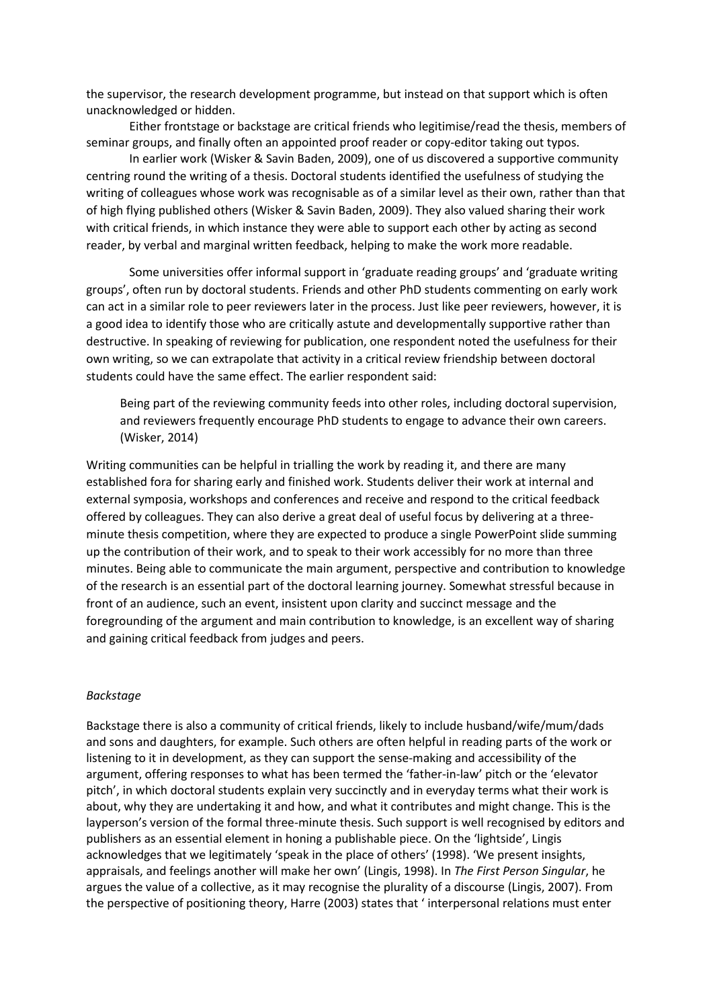the supervisor, the research development programme, but instead on that support which is often unacknowledged or hidden.

Either frontstage or backstage are critical friends who legitimise/read the thesis, members of seminar groups, and finally often an appointed proof reader or copy-editor taking out typos.

In earlier work (Wisker & Savin Baden, 2009), one of us discovered a supportive community centring round the writing of a thesis. Doctoral students identified the usefulness of studying the writing of colleagues whose work was recognisable as of a similar level as their own, rather than that of high flying published others (Wisker & Savin Baden, 2009). They also valued sharing their work with critical friends, in which instance they were able to support each other by acting as second reader, by verbal and marginal written feedback, helping to make the work more readable.

Some universities offer informal support in 'graduate reading groups' and 'graduate writing groups', often run by doctoral students. Friends and other PhD students commenting on early work can act in a similar role to peer reviewers later in the process. Just like peer reviewers, however, it is a good idea to identify those who are critically astute and developmentally supportive rather than destructive. In speaking of reviewing for publication, one respondent noted the usefulness for their own writing, so we can extrapolate that activity in a critical review friendship between doctoral students could have the same effect. The earlier respondent said:

Being part of the reviewing community feeds into other roles, including doctoral supervision, and reviewers frequently encourage PhD students to engage to advance their own careers. (Wisker, 2014)

Writing communities can be helpful in trialling the work by reading it, and there are many established fora for sharing early and finished work. Students deliver their work at internal and external symposia, workshops and conferences and receive and respond to the critical feedback offered by colleagues. They can also derive a great deal of useful focus by delivering at a threeminute thesis competition, where they are expected to produce a single PowerPoint slide summing up the contribution of their work, and to speak to their work accessibly for no more than three minutes. Being able to communicate the main argument, perspective and contribution to knowledge of the research is an essential part of the doctoral learning journey. Somewhat stressful because in front of an audience, such an event, insistent upon clarity and succinct message and the foregrounding of the argument and main contribution to knowledge, is an excellent way of sharing and gaining critical feedback from judges and peers.

#### *Backstage*

Backstage there is also a community of critical friends, likely to include husband/wife/mum/dads and sons and daughters, for example. Such others are often helpful in reading parts of the work or listening to it in development, as they can support the sense-making and accessibility of the argument, offering responses to what has been termed the 'father-in-law' pitch or the 'elevator pitch', in which doctoral students explain very succinctly and in everyday terms what their work is about, why they are undertaking it and how, and what it contributes and might change. This is the layperson's version of the formal three-minute thesis. Such support is well recognised by editors and publishers as an essential element in honing a publishable piece. On the 'lightside', Lingis acknowledges that we legitimately 'speak in the place of others' (1998). 'We present insights, appraisals, and feelings another will make her own' (Lingis, 1998). In *The First Person Singular*, he argues the value of a collective, as it may recognise the plurality of a discourse (Lingis, 2007). From the perspective of positioning theory, Harre (2003) states that ' interpersonal relations must enter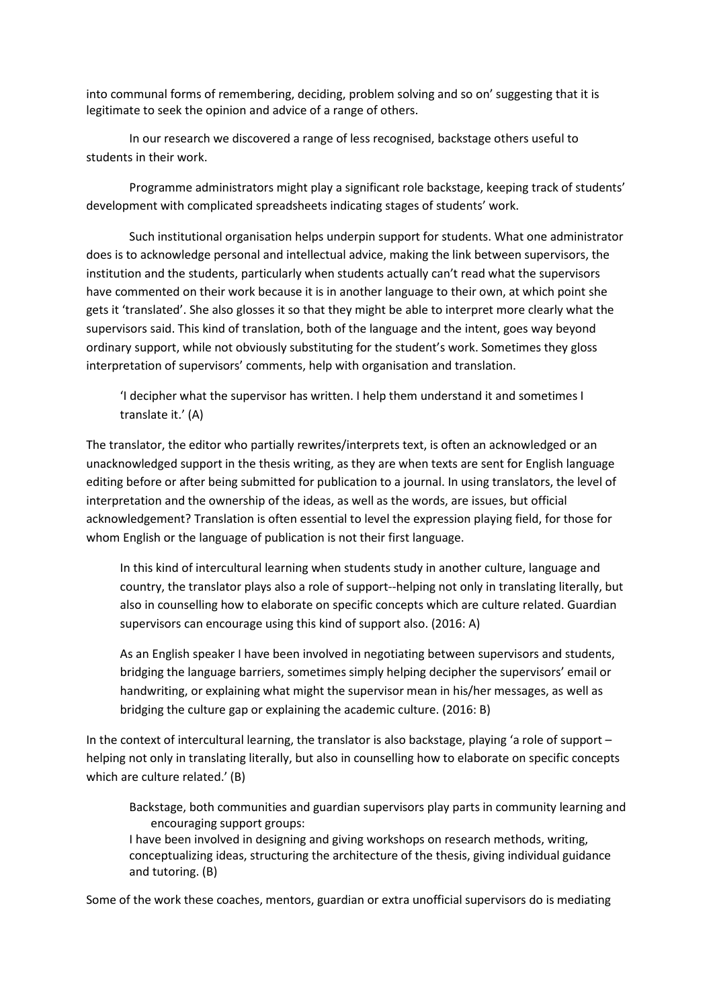into communal forms of remembering, deciding, problem solving and so on' suggesting that it is legitimate to seek the opinion and advice of a range of others.

In our research we discovered a range of less recognised, backstage others useful to students in their work.

Programme administrators might play a significant role backstage, keeping track of students' development with complicated spreadsheets indicating stages of students' work.

Such institutional organisation helps underpin support for students. What one administrator does is to acknowledge personal and intellectual advice, making the link between supervisors, the institution and the students, particularly when students actually can't read what the supervisors have commented on their work because it is in another language to their own, at which point she gets it 'translated'. She also glosses it so that they might be able to interpret more clearly what the supervisors said. This kind of translation, both of the language and the intent, goes way beyond ordinary support, while not obviously substituting for the student's work. Sometimes they gloss interpretation of supervisors' comments, help with organisation and translation.

'I decipher what the supervisor has written. I help them understand it and sometimes I translate it.' (A)

The translator, the editor who partially rewrites/interprets text, is often an acknowledged or an unacknowledged support in the thesis writing, as they are when texts are sent for English language editing before or after being submitted for publication to a journal. In using translators, the level of interpretation and the ownership of the ideas, as well as the words, are issues, but official acknowledgement? Translation is often essential to level the expression playing field, for those for whom English or the language of publication is not their first language.

In this kind of intercultural learning when students study in another culture, language and country, the translator plays also a role of support--helping not only in translating literally, but also in counselling how to elaborate on specific concepts which are culture related. Guardian supervisors can encourage using this kind of support also. (2016: A)

As an English speaker I have been involved in negotiating between supervisors and students, bridging the language barriers, sometimes simply helping decipher the supervisors' email or handwriting, or explaining what might the supervisor mean in his/her messages, as well as bridging the culture gap or explaining the academic culture. (2016: B)

In the context of intercultural learning, the translator is also backstage, playing 'a role of support – helping not only in translating literally, but also in counselling how to elaborate on specific concepts which are culture related.' (B)

Backstage, both communities and guardian supervisors play parts in community learning and encouraging support groups:

I have been involved in designing and giving workshops on research methods, writing, conceptualizing ideas, structuring the architecture of the thesis, giving individual guidance and tutoring. (B)

Some of the work these coaches, mentors, guardian or extra unofficial supervisors do is mediating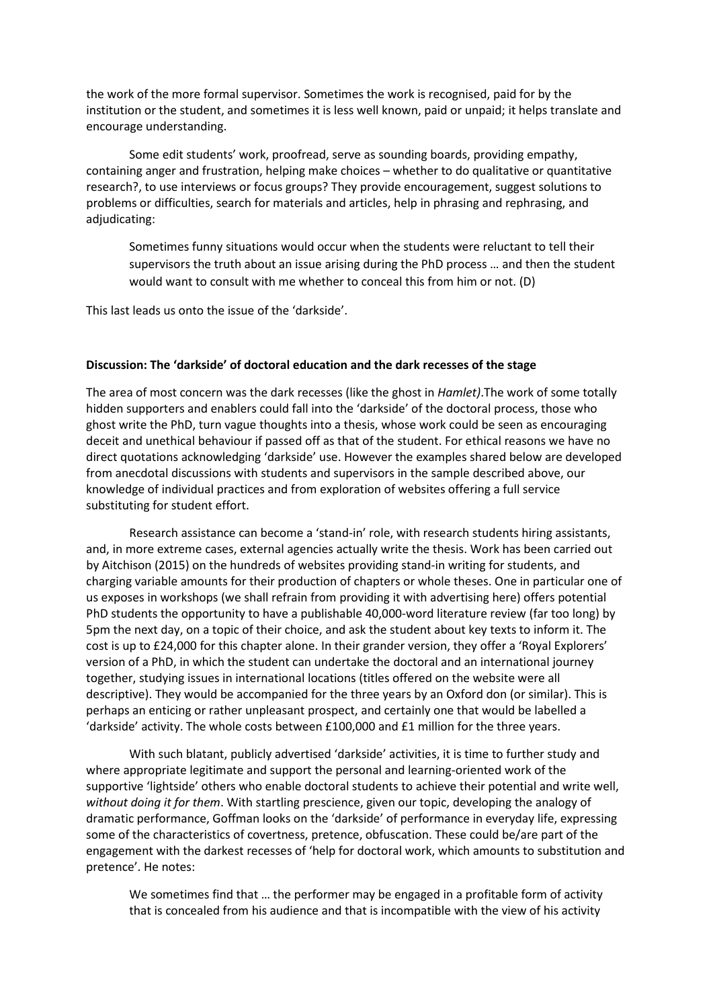the work of the more formal supervisor. Sometimes the work is recognised, paid for by the institution or the student, and sometimes it is less well known, paid or unpaid; it helps translate and encourage understanding.

Some edit students' work, proofread, serve as sounding boards, providing empathy, containing anger and frustration, helping make choices – whether to do qualitative or quantitative research?, to use interviews or focus groups? They provide encouragement, suggest solutions to problems or difficulties, search for materials and articles, help in phrasing and rephrasing, and adjudicating:

Sometimes funny situations would occur when the students were reluctant to tell their supervisors the truth about an issue arising during the PhD process … and then the student would want to consult with me whether to conceal this from him or not. (D)

This last leads us onto the issue of the 'darkside'.

### **Discussion: The 'darkside' of doctoral education and the dark recesses of the stage**

The area of most concern was the dark recesses (like the ghost in *Hamlet)*.The work of some totally hidden supporters and enablers could fall into the 'darkside' of the doctoral process, those who ghost write the PhD, turn vague thoughts into a thesis, whose work could be seen as encouraging deceit and unethical behaviour if passed off as that of the student. For ethical reasons we have no direct quotations acknowledging 'darkside' use. However the examples shared below are developed from anecdotal discussions with students and supervisors in the sample described above, our knowledge of individual practices and from exploration of websites offering a full service substituting for student effort.

Research assistance can become a 'stand-in' role, with research students hiring assistants, and, in more extreme cases, external agencies actually write the thesis. Work has been carried out by Aitchison (2015) on the hundreds of websites providing stand-in writing for students, and charging variable amounts for their production of chapters or whole theses. One in particular one of us exposes in workshops (we shall refrain from providing it with advertising here) offers potential PhD students the opportunity to have a publishable 40,000-word literature review (far too long) by 5pm the next day, on a topic of their choice, and ask the student about key texts to inform it. The cost is up to £24,000 for this chapter alone. In their grander version, they offer a 'Royal Explorers' version of a PhD, in which the student can undertake the doctoral and an international journey together, studying issues in international locations (titles offered on the website were all descriptive). They would be accompanied for the three years by an Oxford don (or similar). This is perhaps an enticing or rather unpleasant prospect, and certainly one that would be labelled a 'darkside' activity. The whole costs between £100,000 and £1 million for the three years.

With such blatant, publicly advertised 'darkside' activities, it is time to further study and where appropriate legitimate and support the personal and learning-oriented work of the supportive 'lightside' others who enable doctoral students to achieve their potential and write well, *without doing it for them*. With startling prescience, given our topic, developing the analogy of dramatic performance, Goffman looks on the 'darkside' of performance in everyday life, expressing some of the characteristics of covertness, pretence, obfuscation. These could be/are part of the engagement with the darkest recesses of 'help for doctoral work, which amounts to substitution and pretence'. He notes:

We sometimes find that … the performer may be engaged in a profitable form of activity that is concealed from his audience and that is incompatible with the view of his activity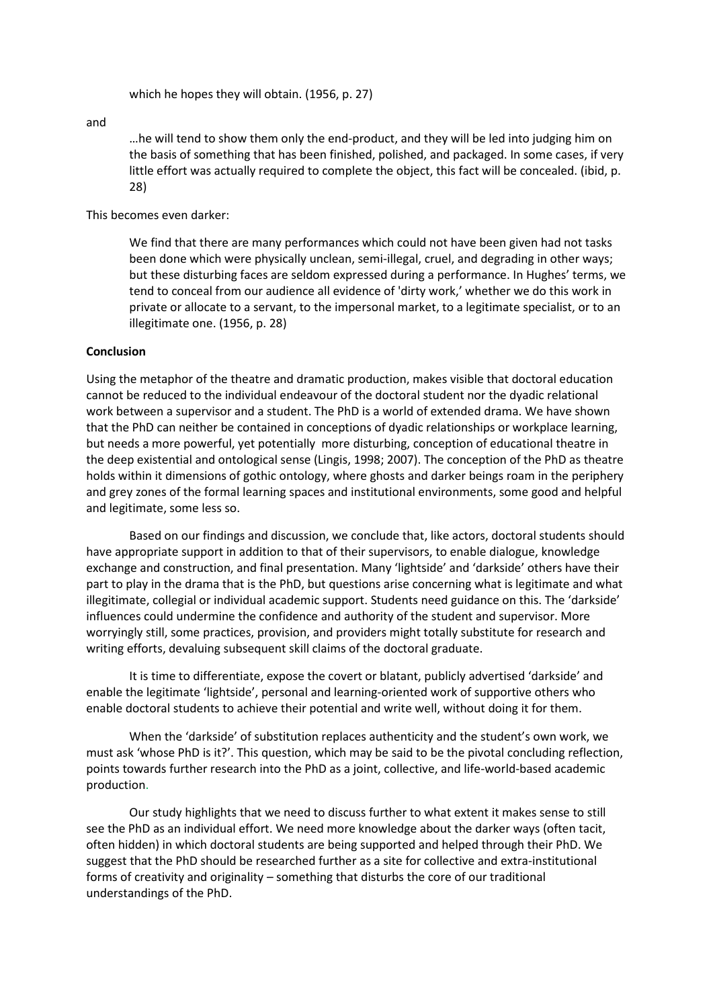which he hopes they will obtain. (1956, p. 27)

and

…he will tend to show them only the end-product, and they will be led into judging him on the basis of something that has been finished, polished, and packaged. In some cases, if very little effort was actually required to complete the object, this fact will be concealed. (ibid, p. 28)

#### This becomes even darker:

We find that there are many performances which could not have been given had not tasks been done which were physically unclean, semi-illegal, cruel, and degrading in other ways; but these disturbing faces are seldom expressed during a performance. In Hughes' terms, we tend to conceal from our audience all evidence of 'dirty work,' whether we do this work in private or allocate to a servant, to the impersonal market, to a legitimate specialist, or to an illegitimate one. (1956, p. 28)

#### **Conclusion**

Using the metaphor of the theatre and dramatic production, makes visible that doctoral education cannot be reduced to the individual endeavour of the doctoral student nor the dyadic relational work between a supervisor and a student. The PhD is a world of extended drama. We have shown that the PhD can neither be contained in conceptions of dyadic relationships or workplace learning, but needs a more powerful, yet potentially more disturbing, conception of educational theatre in the deep existential and ontological sense (Lingis, 1998; 2007). The conception of the PhD as theatre holds within it dimensions of gothic ontology, where ghosts and darker beings roam in the periphery and grey zones of the formal learning spaces and institutional environments, some good and helpful and legitimate, some less so.

Based on our findings and discussion, we conclude that, like actors, doctoral students should have appropriate support in addition to that of their supervisors, to enable dialogue, knowledge exchange and construction, and final presentation. Many 'lightside' and 'darkside' others have their part to play in the drama that is the PhD, but questions arise concerning what is legitimate and what illegitimate, collegial or individual academic support. Students need guidance on this. The 'darkside' influences could undermine the confidence and authority of the student and supervisor. More worryingly still, some practices, provision, and providers might totally substitute for research and writing efforts, devaluing subsequent skill claims of the doctoral graduate.

It is time to differentiate, expose the covert or blatant, publicly advertised 'darkside' and enable the legitimate 'lightside', personal and learning-oriented work of supportive others who enable doctoral students to achieve their potential and write well, without doing it for them.

When the 'darkside' of substitution replaces authenticity and the student's own work, we must ask 'whose PhD is it?'. This question, which may be said to be the pivotal concluding reflection, points towards further research into the PhD as a joint, collective, and life-world-based academic production.

Our study highlights that we need to discuss further to what extent it makes sense to still see the PhD as an individual effort. We need more knowledge about the darker ways (often tacit, often hidden) in which doctoral students are being supported and helped through their PhD. We suggest that the PhD should be researched further as a site for collective and extra-institutional forms of creativity and originality – something that disturbs the core of our traditional understandings of the PhD.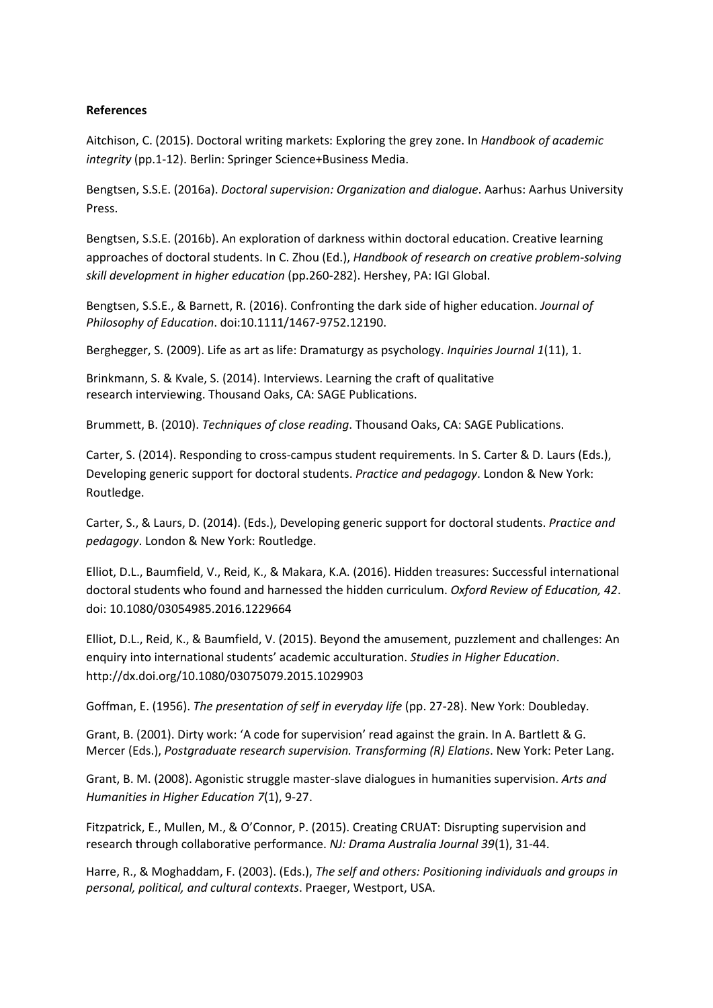## **References**

Aitchison, C. (2015). Doctoral writing markets: Exploring the grey zone. In *Handbook of academic integrity* (pp.1-12). Berlin: Springer Science+Business Media.

Bengtsen, S.S.E. (2016a). *Doctoral supervision: Organization and dialogue*. Aarhus: Aarhus University Press.

Bengtsen, S.S.E. (2016b). An exploration of darkness within doctoral education. Creative learning approaches of doctoral students. In C. Zhou (Ed.), *Handbook of research on creative problem-solving skill development in higher education* (pp.260-282). Hershey, PA: IGI Global.

Bengtsen, S.S.E., & Barnett, R. (2016). Confronting the dark side of higher education. *Journal of Philosophy of Education*. doi:10.1111/1467-9752.12190.

Berghegger, S. (2009). [Life as art as life: Dramaturgy as psychology.](http://www.inquiriesjournal.com/articles/33/life-as-art-as-life-dramaturgy-as-psychology) *[Inquiries Journal](http://www.inquiriesjournal.com/articles/33/life-as-art-as-life-dramaturgy-as-psychology) 1*(11), 1.

Brinkmann, S. & Kvale, S. (2014). Interviews. Learning the craft of qualitative research interviewing. Thousand Oaks, CA: SAGE Publications.

Brummett, B. (2010). *Techniques of close reading*. Thousand Oaks, CA: SAGE Publications.

Carter, S. (2014). Responding to cross-campus student requirements. In S. Carter & D. Laurs (Eds.), Developing generic support for doctoral students. *Practice and pedagogy*. London & New York: Routledge.

Carter, S., & Laurs, D. (2014). (Eds.), Developing generic support for doctoral students. *Practice and pedagogy*. London & New York: Routledge.

Elliot, D.L., Baumfield, V., Reid, K., & Makara, K.A. (2016). Hidden treasures: Successful international doctoral students who found and harnessed the hidden curriculum. *Oxford Review of Education, 42*. doi: 10.1080/03054985.2016.1229664

Elliot, D.L., Reid, K., & Baumfield, V. (2015). Beyond the amusement, puzzlement and challenges: An enquiry into international students' academic acculturation. *Studies in Higher Education*. <http://dx.doi.org/10.1080/03075079.2015.1029903>

Goffman, E. (1956). *The presentation of self in everyday life* (pp. 27-28). New York: Doubleday.

Grant, B. (2001). Dirty work: 'A code for supervision' read against the grain. In A. Bartlett & G. Mercer (Eds.), *Postgraduate research supervision. Transforming (R) Elations*. New York: Peter Lang.

Grant, B. M. (2008). Agonistic struggle master-slave dialogues in humanities supervision. *Arts and Humanities in Higher Education 7*(1), 9-27.

Fitzpatrick, E., Mullen, M., & O'Connor, P. (2015). Creating CRUAT: Disrupting supervision and research through collaborative performance. *NJ: Drama Australia Journal 39*(1), 31-44.

Harre, R., & Moghaddam, F. (2003). (Eds.), *The self and others: Positioning individuals and groups in personal, political, and cultural contexts*. Praeger, Westport, USA.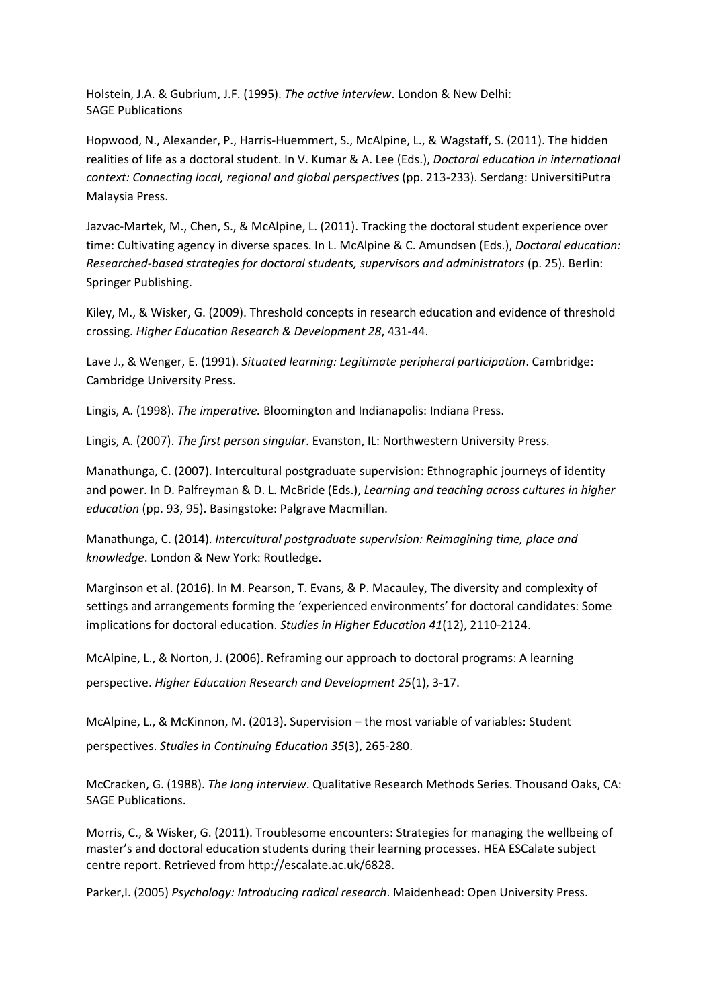Holstein, J.A. & Gubrium, J.F. (1995). *The active interview*. London & New Delhi: SAGE Publications

Hopwood, N., Alexander, P., Harris-Huemmert, S., McAlpine, L., & Wagstaff, S. (2011). The hidden realities of life as a doctoral student. In V. Kumar & A. Lee (Eds.), *Doctoral education in international context: Connecting local, regional and global perspectives* (pp. 213-233). Serdang: UniversitiPutra Malaysia Press.

Jazvac-Martek, M., Chen, S., & McAlpine, L. (2011). Tracking the doctoral student experience over time: Cultivating agency in diverse spaces. In L. McAlpine & C. Amundsen (Eds.), *Doctoral education: Researched-based strategies for doctoral students, supervisors and administrators* (p. 25). Berlin: Springer Publishing.

Kiley, M., & Wisker, G. (2009). Threshold concepts in research education and evidence of threshold crossing. *Higher Education Research & Development 28*, 431-44.

Lave J., & Wenger, E. (1991). *Situated learning: Legitimate peripheral participation*. Cambridge: Cambridge University Press.

Lingis, A. (1998). *The imperative.* Bloomington and Indianapolis: Indiana Press.

Lingis, A. (2007). *The first person singular*. Evanston, IL: Northwestern University Press.

Manathunga, C. (2007). Intercultural postgraduate supervision: Ethnographic journeys of identity and power. In D. Palfreyman & D. L. McBride (Eds.), *Learning and teaching across cultures in higher education* (pp. 93, 95). Basingstoke: Palgrave Macmillan.

Manathunga, C. (2014). *Intercultural postgraduate supervision: Reimagining time, place and knowledge*. London & New York: Routledge.

Marginson et al. (2016). In M. Pearson, T. Evans, & P. Macauley, The diversity and complexity of settings and arrangements forming the 'experienced environments' for doctoral candidates: Some implications for doctoral education. *Studies in Higher Education 41*(12), 2110-2124.

McAlpine, L., & Norton, J. (2006). Reframing our approach to doctoral programs: A learning perspective. *Higher Education Research and Development 25*(1), 3-17.

McAlpine, L., & McKinnon, M. (2013). Supervision – the most variable of variables: Student perspectives. *Studies in Continuing Education 35*(3), 265-280.

McCracken, G. (1988). *The long interview*. Qualitative Research Methods Series. Thousand Oaks, CA: SAGE Publications.

Morris, C., & Wisker, G. (2011). Troublesome encounters: Strategies for managing the wellbeing of master's and doctoral education students during their learning processes. HEA ESCalate subject centre report. Retrieved from [http://escalate.ac.uk/6828.](http://escalate.ac.uk/6828)

Parker,I. (2005) *Psychology: Introducing radical research*. Maidenhead: Open University Press.